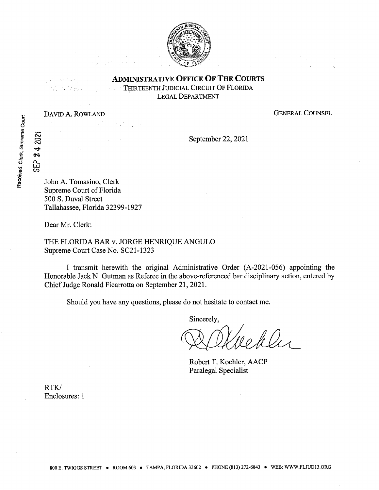

ADMINISTRATIVE OFFICE OF THE COURTS

**THIRTEENTH JUDICIAL CIRCUIT OF FLORIDA** LEGAL DEPARTMENT

DAVID A. ROWLAND GENERAL COUNSEL

September 22, 2021

John A. Tomasino, Clerk Supreme Court of Florida 500 S. Duval Street Tallahassee, Florida 32399-1927

Dear Mr. Clerk:

THE FLORIDA BAR v. JORGE HENRIQUE ANGULO Supreme Court Case No. SC21-1323

I transmit herewith the original Administrative Order (A-2021-056) appointing the Honorable Jack N. Gutman as Referee in the above-referenced bar disciplinary action, entered by Chief Judge Ronald Ficarrotta on September 21, 2021.

Should you have any questions, please do not hesitate to contact me.

Sincerely,

llis

Robert T. Koehler, AACP Paralegal Specialist

RTK/ Enclosures: <sup>1</sup>

SEP

2021 4 eg.